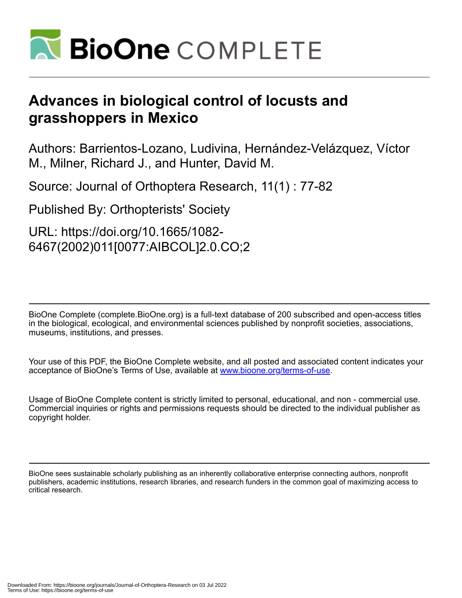

# **Advances in biological control of locusts and grasshoppers in Mexico**

Authors: Barrientos-Lozano, Ludivina, Hernández-Velázquez, Víctor M., Milner, Richard J., and Hunter, David M.

Source: Journal of Orthoptera Research, 11(1) : 77-82

Published By: Orthopterists' Society

URL: https://doi.org/10.1665/1082- 6467(2002)011[0077:AIBCOL]2.0.CO;2

BioOne Complete (complete.BioOne.org) is a full-text database of 200 subscribed and open-access titles in the biological, ecological, and environmental sciences published by nonprofit societies, associations, museums, institutions, and presses.

Your use of this PDF, the BioOne Complete website, and all posted and associated content indicates your acceptance of BioOne's Terms of Use, available at www.bioone.org/terms-of-use.

Usage of BioOne Complete content is strictly limited to personal, educational, and non - commercial use. Commercial inquiries or rights and permissions requests should be directed to the individual publisher as copyright holder.

BioOne sees sustainable scholarly publishing as an inherently collaborative enterprise connecting authors, nonprofit publishers, academic institutions, research libraries, and research funders in the common goal of maximizing access to critical research.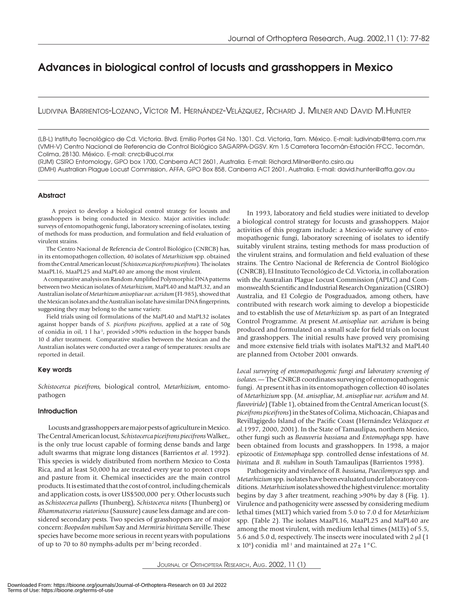# Advances in biological control of locusts and grasshoppers in Mexico

LUDIVINA BARRIENTOS-LOZANO, VÍCTOR M. HERNÁNDEZ-VELÁZQUEZ, RICHARD J. MILNER AND DAVID M.HUNTER

[LB-L] Instituto Tecnológico de Cd. Victoria. Blvd. Emilio Portes Gil No. 1301. Cd. Victoria, Tam. México. E-mail: ludivinab@terra.com.mx [VMH-V] Centro Nacional de Referencia de Control Biológico SAGARPA-DGSV. Km 1.5 Carretera Tecomán-Estación FFCC, Tecomán, Colima, 28130. México. E-mail: cnrcb@ucol.mx

[RJM] CSIRO Entomology, GPO box 1700, Canberra ACT 2601, Australia. E-mail: Richard.Milner@ento.csiro.au [DMH] Australian Plague Locust Commission, AFFA, GPO Box 858, Canberra ACT 2601, Australia. E-mail: david.hunter@affa.gov.au

# **Abstract**

 A project to develop a biological control strategy for locusts and grasshoppers is being conducted in Mexico. Major activities include: surveys of entomopathogenic fungi, laboratory screening of isolates, testing of methods for mass production, and formulation and field evaluation of virulent strains.

 The Centro Nacional de Referencia de Control Biológico (CNRCB) has, in its entomopathogen collection, 40 isolates of *Metarhizium* spp. obtained from the Central American locust  *(Schistocerca piceifrons piceifrons (Schistocercapiceifronspiceifrons*)*.* The iso lates MaaPL16, MaaPL25 and MaPL40 are among the most virulent.

A comparative analysis on Random Amplified Polymorphic DNA patterns between two Mexican isolates of *Metarhizium*, MaPL40 and MaPL32, and an Australian iso late of *Metarhizum anisopliae var. acridum* (FI-985), showed that the Mexican isolates and the Australian isolate have similar DNA fingerprints, suggesting they may belong to the same variety.

 Field trials using oil formulations of the MaPL40 and MaPL32 isolates against hopper bands of *S. piceifrons piceifrons*, applied at a rate of 50g of conidia in oil, 1 l ha<sup>-1</sup>, provided >90% reduction in the hopper bands 10 d after treatment. Comparative studies between the Mexican and the Australian isolates were conducted over a range of temperatures: results are reported in detail.

#### Key words

*Schistocerca piceifrons,* biological control, *Metarhizium,* entomopathogen

# Introduction

 Locusts and grasshoppers are major pests of agriculture in Mexico. The Central American locust, *Schistocerca piceifrons piecifrons* Walker,, is the only true locust capable of forming dense bands and large adult swarms that migrate long distances (Barrientos et al. 1992). This species is widely distributed from northern Mexico to Costa Rica, and at least 50,000 ha are treated every year to protect crops and pasture from it. Chemical insecticides are the main control products. It is estimated that the cost of control, including chemicals and application costs, is over US\$500,000 per y. Other locusts such as *Schistocerca pallens* (Thunberg)*, Schistocerca nitens* (Thunberg) or *Rhammatocerus viatorious* (Saussure) cause less dam age and are con sidered secondary pests. Two species of grasshoppers are of major concern: *Boopedon nubilum* Say and *Mermiria bivittata* Serville. These species have become more serious in recent years with populations of up to 70 to 80 nymphs-adults per m<sup>2</sup> being recorded.

In 1993, laboratory and field studies were initiated to develop a biological control strategy for locusts and grasshoppers. Major activities of this program include: a Mexico-wide survey of entomopathogenic fungi, laboratory screening of isolates to identify suitably virulent strains, testing methods for mass production of the virulent strains, and formulation and field evaluation of these strains. The Centro Nacional de Referencia de Control Biológico (CNRCB), El Instituto Tecnológico de Cd. Victoria, in collaboration with the Australian Plague Locust Commission (APLC) and Commonwealth Scientific and Industrial Research Organization (CSIRO) Australia, and El Colegio de Posgraduados, among others, have contributed with research work aiming to develop a biopesticide and to establish the use of *Metarhizium* sp. as part of an Integrated Control Programme. At present *M.anisopliae var. acridum* is being produced and formulated on a small scale for field trials on locust and grasshoppers. The initial results have proved very promising and more extensive field trials with isolates MaPL32 and MaPL40 are planned from October 2001 onwards.

Local surveying of entomopathogenic fungi and laboratory screening of isolates. - The CNRCB coordinates surveying of entomopathogenic fungi. At present it has in its entomopathogen collection 40 isolates of *Metarhizium* spp. (*M. anisopliae*, *M. anisopliae var. acridum* and *M. flavoviride*) (Table 1), obtained from the Central American locust (*S. piceifrons piceifrons*) in the States of Colima, Michoacán, Chiapas and Revillagigedo Island of the Pacific Coast (Hernández Velázquez et *al.*1997, 2000, 2001). In the State of Tamaulipas, northern Mexico, other fungi such as *Beauveria bassiana* and *Entomophaga* spp. have been obtained from locusts and grasshoppers. In 1998, a major epizootic of *Entomophaga* spp. controlled dense infestations of *M*. *bivittata* and *B. nubilum* in South Tamaulipas (Barrientos 1998).

 Pathogenicity and virulence of *B. bassiana, Paecilomyces* spp*.* and *Metarhizium* spp*.* isolates have been evaluated under laboratory conditions. *Metarhizium* isolates showed the highest virulence: mortality begins by day 3 after treatment, reaching  $> 90\%$  by day 8 (Fig. 1). Virulence and pathogenicity were assessed by considering medium lethal times (MLT) which varied from 5.0 to 7.0 d for *Metarhizium*  spp*.* (Table 2). The isolates MaaPL16, MaaPL25 and MaPL40 are among the most virulent, with medium lethal times (MLTs) of 5.5, 5.6 and 5.0 d, respectively. The insects were inoculated with 2  $\mu$ l (1 x 10<sup>8</sup>) conidia ml<sup>-1</sup> and maintained at  $27 \pm 1$  °C.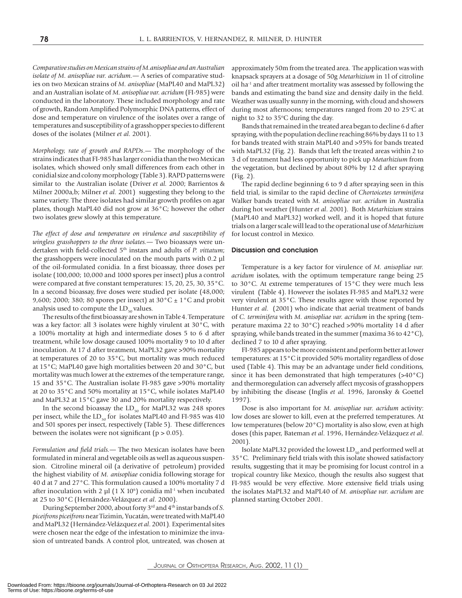*Comparative studies on Mexican strains of M.anisopliae and an Australian isolate of M. anisopliae var. acridum.—* A series of comparative studies on two Mexican strains of *M. anisopliae* (MaPL40 and MaPL32) and an Australian isolate of *M. anisopliae var. acridum* (FI-985) were conducted in the laboratory. These included morphology and rate of growth, Random Amplified Polymorphic DNA patterns, effect of dose and temperature on virulence of the isolates over a range of temperatures and susceptibility of a grasshopper species to different doses of the isolates (Milner *et al*. 2001).

*Morphology, rate of growth and RAPDs.*— The morphology of the strains indicates that FI-985 has larger conidia than the two Mexican isolates, which showed only small differences from each other in conidial size and colony morphology (Table 3). RAPD patterns were similar to the Australian isolate (Driver et al. 2000; Barrientos & Milner 2000a,b; Milner *et al.* 2001) suggesting they belong to the same variety. The three iso lates had similar growth profiles on agar plates, though MaPL40 did not grow at 36°C; however the other two isolates grew slowly at this temperature.

The effect of dose and temperature on virulence and susceptibility of *wingless grasshoppers to the three isolates.—* Two bioassays were undertaken with field-collected 5<sup>th</sup> instars and adults of *P. vittatum*; the grasshoppers were inoculated on the mouth parts with  $0.2$  µl of the oil-formulated conidia. In a first bioassay, three doses per isolate  $(100,000; 10,000$  and  $1000$  spores per insect) plus a control were compared at five constant temperatures:  $15$ ,  $20$ ,  $25$ ,  $30$ ,  $35^{\circ}$ C. In a second bioassay, five doses were studied per isolate (48,000; 9,600; 2000; 380; 80 spores per insect) at  $30^{\circ}$ C  $\pm$  1°C and probit analysis used to compute the  $LD_{50}$  values.

The results of the first bioassay are shown in Table 4. Temperature was a key factor: all 3 isolates were highly virulent at  $30^{\circ}$ C, with a 100% mortality at high and intermediate doses 5 to 6 d after treatment, while low dosage caused 100% mortality 9 to 10 d after inoculation. At 17 d after treatment, MaPL32 gave >90% mortality at temperatures of 20 to  $35^{\circ}$ C, but mortality was much reduced at 15°C; MaPL40 gave high mortalities between 20 and 30°C, but mortality was much lower at the extremes of the temperature range, 15 and 35 $^{\circ}$ C. The Australian isolate FI-985 gave >90% mortality at 20 to 35 $^{\circ}$ C and 50% mortality at 15 $^{\circ}$ C, while isolates MaPL40 and MaPL32 at 15°C gave 30 and 20% mortality respectively.

In the second bioassay the  $LD_{50}$  for MaPL32 was 248 spores per insect, while the  $LD_{50}$  for isolates MaPL40 and FI-985 was 410 and 501 spores per insect, respectively (Table 5). These differences between the isolates were not significant ( $p > 0.05$ ).

*Formulation and field trials.* — The two Mexican isolates have been formulated in mineral and vegetable oils as well as aqueous suspension. Citroline mineral oil (a derivative of petroleum) provided the high est viability of *M. anisopliae* conidia following storage for 40 d at 7 and 27°C. This formulation caused a 100% mortality 7 d after inoculation with 2  $\mu$ l (1 X 10<sup>6</sup>) conidia ml<sup>-1</sup> when incubated at 25 to 30°C (Hernández-Velázquez *et al*. 2000).

During September 2000, about forty 3<sup>rd</sup> and 4<sup>th</sup> instar bands of *S*. *piceifrons piceifrons* near Tizimin, Yucatán, were treated with MaPL40 and MaPL32 (Hernández-Velázquez *et al*. 2001)*.* Experimental sites were chosen near the edge of the infestation to minimize the invasion of untreated bands. A control plot, untreated, was chosen at approximately 50m from the treated area. The application was with knapsack sprayers at a dosage of 50g *Metarhizium* in 1l of citroline oil ha<sup>-1</sup> and after treatment mortality was assessed by following the bands and estimating the band size and density daily in the field. Weather was usually sunny in the morning, with cloud and showers during most afternoons; temperatures ranged from 20 to 25 $\degree$ C at night to 32 to 35 $\degree$ C during the day.

 Bands that remained in the treated area began to decline 6 d after spraying, with the population decline reaching 86% by days 11 to 13 for bands treated with strain MaPL40 and >95% for bands treated with MaPL32 (Fig. 2). Bands that left the treated areas within 2 to 3 d of treatment had less opportunity to pick up *Metarhizium* from the vegetation, but declined by about 80% by 12 d after spraying (Fig. 2).

 The rapid decline beginning 6 to 9 d after spraying seen in this field trial, is similar to the rapid decline of *Chortoicetes terminifera* Walker bands treated with *M. anisopliae var. acridum* in Australia during hot weather (Hunter *et al*. 2001). Both *Metarhizium* strains (MaPL40 and MaPL32) worked well, and it is hoped that future trials on a larger scale will lead to the operational use of *Metarhizium*  for locust control in Mexico*.*

# Discussion and conclusion

 Temperature is a key factor for virulence of *M. anisopliae var. acridum* isolates, with the optimum temperature range being 25 to 30°C. At extreme temperatures of 15°C they were much less virulent (Table 4). However the isolates FI-985 and MaPL32 were very virulent at 35°C. These results agree with those reported by Hunter *et al*. (2001) who indicate that aerial treatment of bands of *C. terminifera* with *M. anisopliae var. acridum* in the spring (tem perature maxima 22 to 30 $^{\circ}$ C) reached >90% mortality 14 d after spraying, while bands treated in the summer (maxima 36 to 42°C), declined 7 to 10 d after spraying.

 FI-985 appears to be more consistent and perform better at lower temperatures: at  $15^{\circ}$ C it provided 50% mortality regardless of dose used (Table 4). This may be an advantage under field conditions, since it has been demonstrated that high temperatures  $(>40°C)$ and thermoregulation can adversely affect mycosis of grasshoppers by in hib it ing the disease (Inglis *et al*. 1996, Jaronsky & Goettel 1997).

Dose is also important for *M. anisopliae var. acridum* activity: low doses are slower to kill, even at the preferred temperatures. At low temperatures (below 20°C) mortality is also slow, even at high doses (this paper, Bateman *et al*. 1996, Hernández-Velázquez *et al*. 2001).

Isolate MaPL32 provided the lowest  $LD_{50}$  and performed well at 35 °C. Preliminary field trials with this isolate showed satisfactory results, suggesting that it may be promising for locust control in a tropical country like Mexico, though the results also suggest that FI-985 would be very effective. More extensive field trials using the isolates MaPL32 and MaPL40 of *M. anisopliae var. acridum* are planned starting October 2001.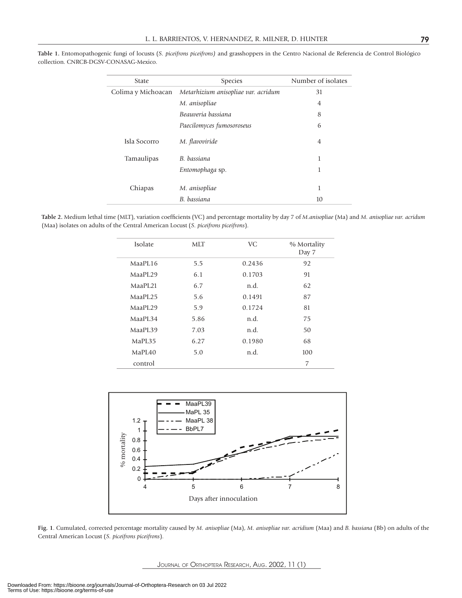| <b>State</b>       | <b>Species</b>                      | Number of isolates |
|--------------------|-------------------------------------|--------------------|
| Colima y Michoacan | Metarhizium anisopliae var. acridum | 31                 |
|                    | M. anisopliae                       | $\overline{4}$     |
|                    | Beauveria bassiana                  | 8                  |
|                    | Paecilomyces fumosoroseus           | 6                  |
| Isla Socorro       | M. flavoviride                      | $\overline{4}$     |
| Tamaulipas         | B. bassiana                         | 1                  |
|                    | Entomophaga sp.                     | 1                  |
|                    |                                     |                    |
| Chiapas            | M. anisopliae                       | 1                  |
|                    | B. bassiana                         | 10                 |

**Table 1.** Entomopathogenic fungi of locusts (*S. piceifrons piceifrons)* and grasshoppers in the Centro Nacional de Referencia de Control Biológico collection. CNRCB-DGSV-CONASAG-Mexico.

Table 2. Medium lethal time (MLT), variation coefficients (VC) and percentage mortality by day 7 of *M.anisopliae* (Ma) and *M. anisopliae var. acridum* (Maa) isolates on adults of the Central American Locust (*S. piceifrons piceifrons*).

| <b>Isolate</b>      | <b>MLT</b> | VC     | % Mortality<br>Day 7 |
|---------------------|------------|--------|----------------------|
| MaaPL16             | 5.5        | 0.2436 | 92                   |
| MaaPI.29            | 6.1        | 0.1703 | 91                   |
| MaaPL <sub>21</sub> | 6.7        | n.d.   | 62                   |
| MaaPL25             | 5.6        | 0.1491 | 87                   |
| MaaPL29             | 5.9        | 0.1724 | 81                   |
| MaaPL34             | 5.86       | n.d.   | 75                   |
| MaaPL39             | 7.03       | n.d.   | 50                   |
| MaPI.35             | 6.27       | 0.1980 | 68                   |
| MaPI.40             | 5.0        | n.d.   | 100                  |
| control             |            |        | 7                    |



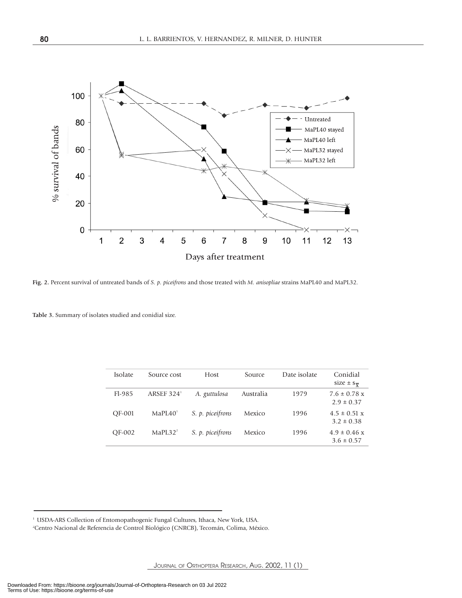

**Fig. 2.** Percent survival of untreated bands of *S. p. piceifrons* and those treated with *M. anisopliae* strains MaPL40 and MaPL32.

**Table 3.** Summary of isolates studied and conidial size.

| <b>Isolate</b> | Source cost          | Host             | Source    | Date isolate | Conidial<br>size $\pm$ s <sub><math>\overline{y}</math></sub> |
|----------------|----------------------|------------------|-----------|--------------|---------------------------------------------------------------|
| $F1-985$       | ARSEF $3241$         | A. guttulosa     | Australia | 1979         | $7.6 \pm 0.78$ x<br>$2.9 \pm 0.37$                            |
| OF-001         | MaPI.40 <sup>1</sup> | S. p. piceifrons | Mexico    | 1996         | $4.5 \pm 0.51$ x<br>$3.2 \pm 0.38$                            |
| OF-002         | MaPI.32 <sup>2</sup> | S. p. piceifrons | Mexico    | 1996         | $4.9 \pm 0.46$ x<br>$3.6 \pm 0.57$                            |

<sup>&</sup>lt;sup>1</sup> USDA-ARS Collection of Entomopathogenic Fungal Cultures, Ithaca, New York, USA.

<sup>2</sup> Centro Nacional de Referencia de Control Biológico (CNRCB), Tecomán, Colima, México.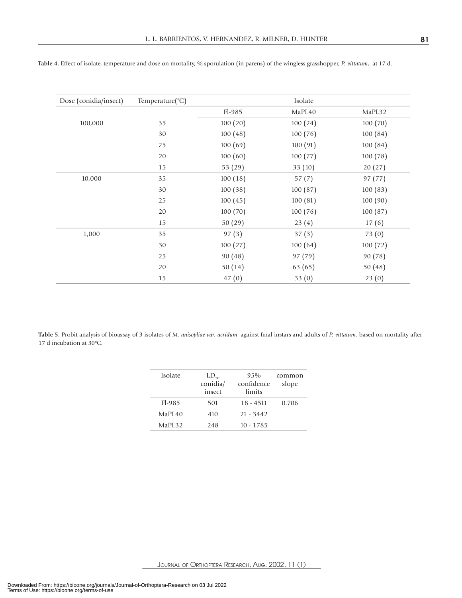| Dose (conidia/insect) | Temperature(°C) |          | Isolate |         |
|-----------------------|-----------------|----------|---------|---------|
|                       |                 | Fl-985   | MaPL40  | MaPL32  |
| 100,000               | 35              | 100(20)  | 100(24) | 100(70) |
|                       | 30              | 100(48)  | 100(76) | 100(84) |
|                       | 25              | 100(69)  | 100(91) | 100(84) |
|                       | 20              | 100(60)  | 100(77) | 100(78) |
|                       | 15              | 53 (29)  | 33(10)  | 20(27)  |
| 10,000                | 35              | 100(18)  | 57(7)   | 97 (77) |
|                       | 30              | 100(38)  | 100(87) | 100(83) |
|                       | 25              | 100(45)  | 100(81) | 100(90) |
|                       | 20              | 100 (70) | 100(76) | 100(87) |
|                       | 15              | 50(29)   | 23(4)   | 17(6)   |
| 1,000                 | 35              | 97(3)    | 37(3)   | 73(0)   |
|                       | 30              | 100(27)  | 100(64) | 100(72) |
|                       | 25              | 90(48)   | 97 (79) | 90 (78) |
|                       | 20              | 50(14)   | 63 (65) | 50(48)  |
|                       | 15              | 47(0)    | 33(0)   | 23(0)   |

**Table 4.** Effect of isolate, temperature and dose on mortality, % sporulation (in parens) of the wingless grasshopper, *P. vittatum*, at 17 d.

Table 5. Probit analysis of bioassay of 3 isolates of *M. anisopliae var. acridum*, against final instars and adults of *P. vittatum*, based on mortality after 17 d incubation at 30°C.

| Isolate            | $LD_{50}$<br>conidia/<br>insect | 95%<br>confidence<br>limits | common<br>slope |
|--------------------|---------------------------------|-----------------------------|-----------------|
| $F1-985$           | 501                             | $18 - 4511$                 | 0.706           |
| MaPL <sub>40</sub> | 410                             | $21 - 3442$                 |                 |
| MaPI.32            | 248                             | $10 - 1785$                 |                 |